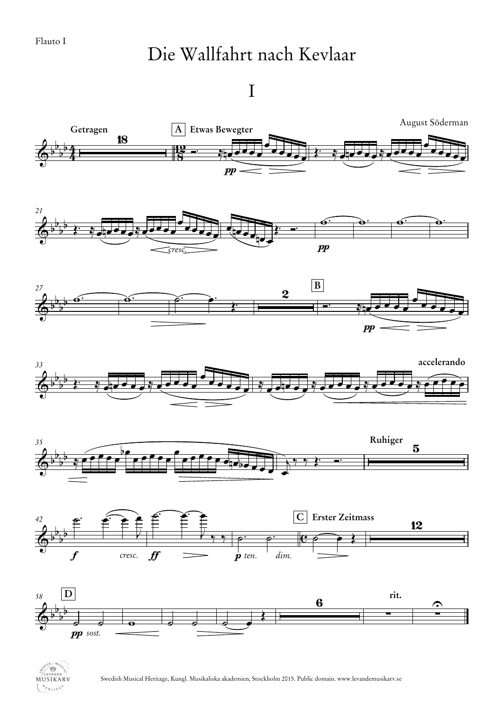## Die Wallfahrt nach Kevlaar

## I



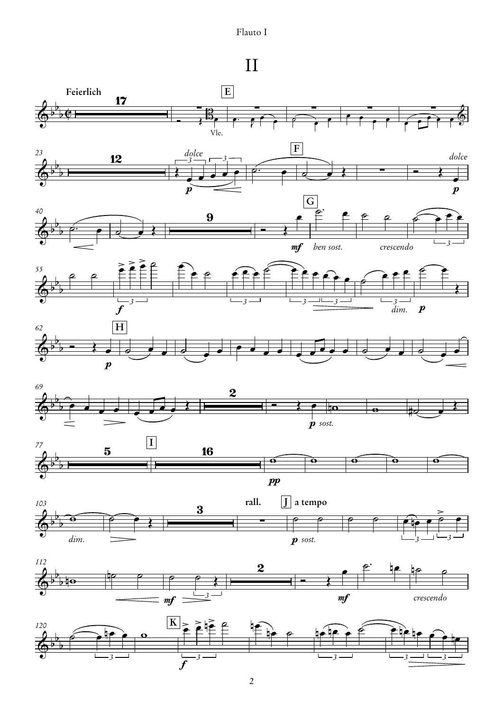## Flauto I

## II